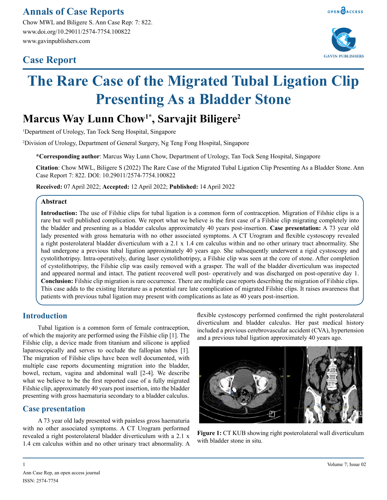## **Annals of Case Reports**

Chow MWL and Biligere S. Ann Case Rep: 7: 822. www.doi.org/10.29011/2574-7754.100822 www.gavinpublishers.com

## **Case Report**





# **The Rare Case of the Migrated Tubal Ligation Clip Presenting As a Bladder Stone**

## **Marcus Way Lunn Chow1\*, Sarvajit Biligere2**

1 Department of Urology, Tan Tock Seng Hospital, Singapore

2 Division of Urology, Department of General Surgery, Ng Teng Fong Hospital, Singapore

**\*Corresponding author**: Marcus Way Lunn Chow, Department of Urology, Tan Tock Seng Hospital, Singapore

**Citation**: Chow MWL, Biligere S (2022) The Rare Case of the Migrated Tubal Ligation Clip Presenting As a Bladder Stone. Ann Case Report 7: 822. DOI: 10.29011/2574-7754.100822

**Received:** 07 April 2022; **Accepted:** 12 April 2022; **Published:** 14 April 2022

#### **Abstract**

**Introduction:** The use of Filshie clips for tubal ligation is a common form of contraception. Migration of Filshie clips is a rare but well published complication. We report what we believe is the first case of a Filshie clip migrating completely into the bladder and presenting as a bladder calculus approximately 40 years post-insertion. **Case presentation:** A 73 year old lady presented with gross hematuria with no other associated symptoms. A CT Urogram and flexible cystoscopy revealed a right posterolateral bladder diverticulum with a 2.1 x 1.4 cm calculus within and no other urinary tract abnormality. She had undergone a previous tubal ligation approximately 40 years ago. She subsequently underwent a rigid cystoscopy and cystolithotripsy. Intra-operatively, during laser cystolithotripsy, a Filshie clip was seen at the core of stone. After completion of cystolithotripsy, the Filshie clip was easily removed with a grasper. The wall of the bladder diverticulum was inspected and appeared normal and intact. The patient recovered well post- operatively and was discharged on post-operative day 1. **Conclusion:** Filshie clip migration is rare occurrence. There are multiple case reports describing the migration of Filshie clips. This case adds to the existing literature as a potential rare late complication of migrated Filshie clips. It raises awareness that patients with previous tubal ligation may present with complications as late as 40 years post-insertion.

### **Introduction**

Tubal ligation is a common form of female contraception, of which the majority are performed using the Filshie clip [1]. The Filshie clip, a device made from titanium and silicone is applied laparoscopically and serves to occlude the fallopian tubes [1]. The migration of Filshie clips have been well documented, with multiple case reports documenting migration into the bladder, bowel, rectum, vagina and abdominal wall [2-4]. We describe what we believe to be the first reported case of a fully migrated Filshie clip, approximately 40 years post insertion, into the bladder presenting with gross haematuria secondary to a bladder calculus.

### **Case presentation**

A 73 year old lady presented with painless gross haematuria with no other associated symptoms. A CT Urogram performed revealed a right posterolateral bladder diverticulum with a 2.1 x 1.4 cm calculus within and no other urinary tract abnormality. A flexible cystoscopy performed confirmed the right posterolateral diverticulum and bladder calculus. Her past medical history included a previous cerebrovascular accident (CVA), hypertension and a previous tubal ligation approximately 40 years ago.



**Figure 1:** CT KUB showing right posterolateral wall diverticulum with bladder stone in situ.